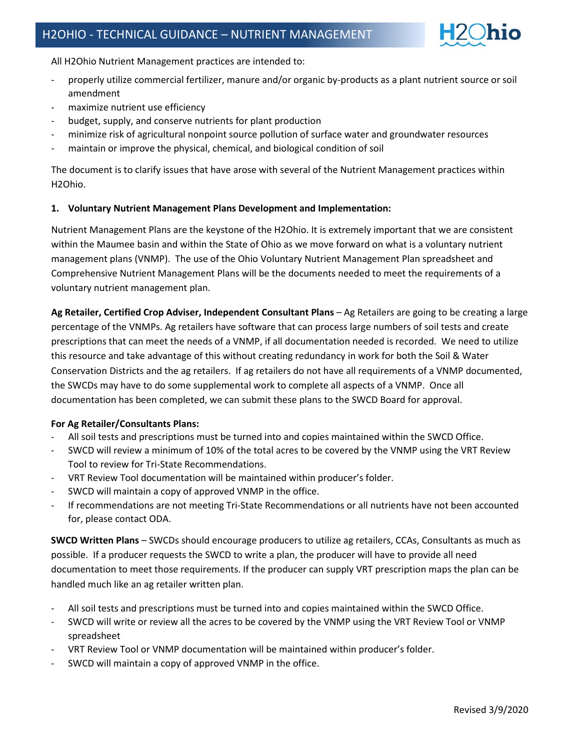

All H2Ohio Nutrient Management practices are intended to:

- properly utilize commercial fertilizer, manure and/or organic by-products as a plant nutrient source or soil amendment
- maximize nutrient use efficiency
- budget, supply, and conserve nutrients for plant production
- minimize risk of agricultural nonpoint source pollution of surface water and groundwater resources
- maintain or improve the physical, chemical, and biological condition of soil

The document is to clarify issues that have arose with several of the Nutrient Management practices within H2Ohio.

### **1. Voluntary Nutrient Management Plans Development and Implementation:**

Nutrient Management Plans are the keystone of the H2Ohio. It is extremely important that we are consistent within the Maumee basin and within the State of Ohio as we move forward on what is a voluntary nutrient management plans (VNMP). The use of the Ohio Voluntary Nutrient Management Plan spreadsheet and Comprehensive Nutrient Management Plans will be the documents needed to meet the requirements of a voluntary nutrient management plan.

**Ag Retailer, Certified Crop Adviser, Independent Consultant Plans** – Ag Retailers are going to be creating a large percentage of the VNMPs. Ag retailers have software that can process large numbers of soil tests and create prescriptions that can meet the needs of a VNMP, if all documentation needed is recorded. We need to utilize this resource and take advantage of this without creating redundancy in work for both the Soil & Water Conservation Districts and the ag retailers. If ag retailers do not have all requirements of a VNMP documented, the SWCDs may have to do some supplemental work to complete all aspects of a VNMP. Once all documentation has been completed, we can submit these plans to the SWCD Board for approval.

#### **For Ag Retailer/Consultants Plans:**

- All soil tests and prescriptions must be turned into and copies maintained within the SWCD Office.
- SWCD will review a minimum of 10% of the total acres to be covered by the VNMP using the VRT Review Tool to review for Tri-State Recommendations.
- VRT Review Tool documentation will be maintained within producer's folder.
- SWCD will maintain a copy of approved VNMP in the office.
- If recommendations are not meeting Tri-State Recommendations or all nutrients have not been accounted for, please contact ODA.

**SWCD Written Plans** – SWCDs should encourage producers to utilize ag retailers, CCAs, Consultants as much as possible. If a producer requests the SWCD to write a plan, the producer will have to provide all need documentation to meet those requirements. If the producer can supply VRT prescription maps the plan can be handled much like an ag retailer written plan.

- All soil tests and prescriptions must be turned into and copies maintained within the SWCD Office.
- SWCD will write or review all the acres to be covered by the VNMP using the VRT Review Tool or VNMP spreadsheet
- VRT Review Tool or VNMP documentation will be maintained within producer's folder.
- SWCD will maintain a copy of approved VNMP in the office.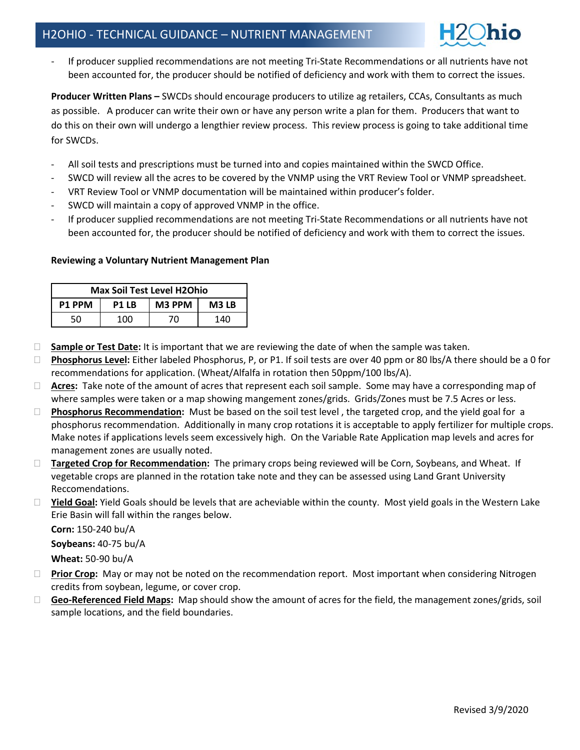If producer supplied recommendations are not meeting Tri-State Recommendations or all nutrients have not been accounted for, the producer should be notified of deficiency and work with them to correct the issues.

**Producer Written Plans –** SWCDs should encourage producers to utilize ag retailers, CCAs, Consultants as much as possible. A producer can write their own or have any person write a plan for them. Producers that want to do this on their own will undergo a lengthier review process. This review process is going to take additional time for SWCDs.

- All soil tests and prescriptions must be turned into and copies maintained within the SWCD Office.
- SWCD will review all the acres to be covered by the VNMP using the VRT Review Tool or VNMP spreadsheet.
- VRT Review Tool or VNMP documentation will be maintained within producer's folder.
- SWCD will maintain a copy of approved VNMP in the office.
- If producer supplied recommendations are not meeting Tri-State Recommendations or all nutrients have not been accounted for, the producer should be notified of deficiency and work with them to correct the issues.

### **Reviewing a Voluntary Nutrient Management Plan**

| <b>Max Soil Test Level H2Ohio</b> |       |        |       |
|-----------------------------------|-------|--------|-------|
| <b>P1 PPM</b>                     | P1 LB | M3 PPM | M3 LB |
| 50                                | 100   | 70.    | 140   |

- **Sample or Test Date:** It is important that we are reviewing the date of when the sample was taken.
- **Phosphorus Level:** Either labeled Phosphorus, P, or P1. If soil tests are over 40 ppm or 80 lbs/A there should be a 0 for recommendations for application. (Wheat/Alfalfa in rotation then 50ppm/100 lbs/A).
- **Acres:** Take note of the amount of acres that represent each soil sample. Some may have a corresponding map of where samples were taken or a map showing mangement zones/grids. Grids/Zones must be 7.5 Acres or less.
- **Phosphorus Recommendation:** Must be based on the soil test level , the targeted crop, and the yield goal for a phosphorus recommendation.Additionally in many crop rotations it is acceptable to apply fertilizer for multiple crops. Make notes if applications levels seem excessively high. On the Variable Rate Application map levels and acres for management zones are usually noted.
- **Targeted Crop for Recommendation:** The primary crops being reviewed will be Corn, Soybeans, and Wheat. If vegetable crops are planned in the rotation take note and they can be assessed using Land Grant University Reccomendations.
- □ Yield Goal: Yield Goals should be levels that are acheviable within the county. Most yield goals in the Western Lake Erie Basin will fall within the ranges below.

**Corn:** 150-240 bu/A

**Soybeans:** 40-75 bu/A

**Wheat:** 50-90 bu/A

- **Prior Crop:** May or may not be noted on the recommendation report. Most important when considering Nitrogen credits from soybean, legume, or cover crop.
- **Geo-Referenced Field Maps:** Map should show the amount of acres for the field, the management zones/grids, soil sample locations, and the field boundaries.